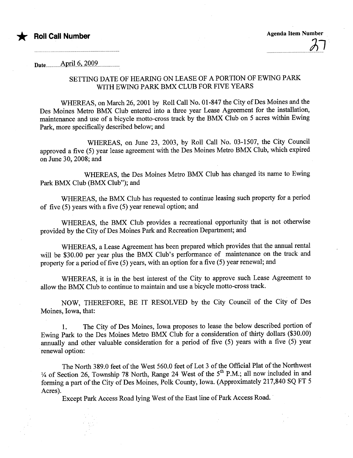

Date.................Âp.ri.LG,...7.QQ.9..........................

## SETTING DATE OF HEARING ON LEASE OF A PORTION OF EWING PARK WITH EWING PARK BMX CLUB FOR FIVE YEARS

WHEREAS, on March 26,2001 by Roll Call No. 01-847 the City of Des Moines and the Des Moines Metro BMX Club entered into a three year Lease Agreement for the installation, maintenance and use of a bicycle motto-cross track by the BMX Club on 5 acres within Ewing Park, more specifically described below; and

WHEREAS, on June 23, 2003, by Roll Call No. 03-1507, the City Council approved a five (5) year lease agreement with the Des Moines Metro BMX Club, which expired on June 30, 2008; and

WHEREAS, the Des Moines Metro BMX Club has changed its name to Ewing Park BMX Club (BMX Club"); and

WHEREAS, the BMX Club has requested to continue leasing such property for a period of five (5) years with a five (5) year renewal option; and

WHEREAS, the BMX Club provides a recreational opportunity that is not otherwise provided by the City of Des Moines Park and Recreation Department; and

WHEREAS, a Lease Agreement has been prepared which provides that the anual rental will be \$30.00 per year plus the BMX Club's performance of maintenance on the track and property for a period of five (5) years, with an option for a five (5) year renewal; and

WHEREAS, it is in the best interest of the City to approve such Lease Agreement to allow the BMX Club to continue to maintain and use a bicycle motto-cross track.

NOW, THEREFORE, BE IT RESOLVED by the City Council of the City of Des Moines, Iowa, that:

1. The City of Des Moines, Iowa proposes to lease the below described portion of Ewing Park to the Des Moines Metro BMX Club for a consideration of thirty dollars (\$30.00) anualy and other valuable consideration for a period of five (5) years with a five (5) year renewal option:

The North 389.0 feet of the West 560.0 feet of Lot 3 of the Official Plat of the Northwest  $\frac{1}{4}$  of Section 26, Township 78 North, Range 24 West of the 5<sup>th</sup> P.M.; all now included in and forming a part of the City of Des Moines, Polk County, Iowa. (Approximately 217,840 SQ FT 5 Acres).

Except Park Access Road lying West of the East line of Park Access Road.